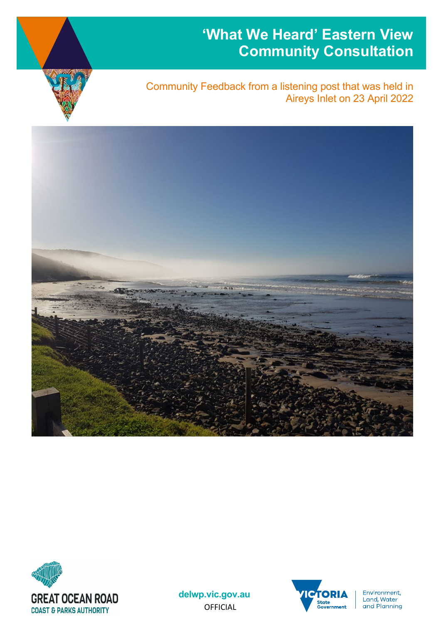# **'What We Heard' Eastern View Community Consultation**



Community Feedback from a listening post that was held in Aireys Inlet on 23 April 2022





**delwp.vic.gov.au** OFFICIAL



Environment, Land, Water and Planning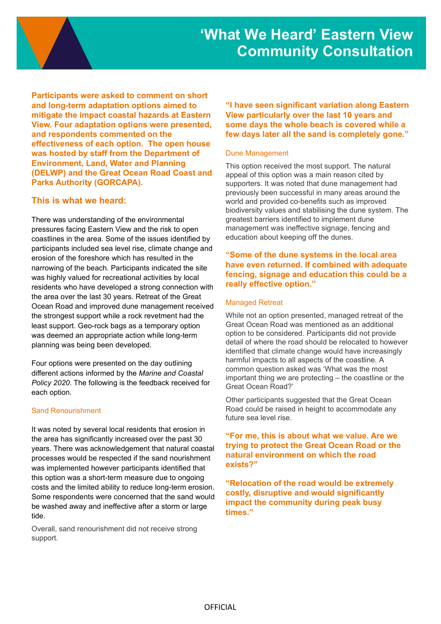

**Participants were asked to comment on short and long-term adaptation options aimed to mitigate the impact coastal hazards at Eastern View. Four adaptation options were presented, and respondents commented on the effectiveness of each option. The open house was hosted by staff from the Department of Environment, Land, Water and Planning (DELWP) and the Great Ocean Road Coast and Parks Authority (GORCAPA).**

# **This is what we heard:**

There was understanding of the environmental pressures facing Eastern View and the risk to open coastlines in the area. Some of the issues identified by participants included sea level rise, climate change and erosion of the foreshore which has resulted in the narrowing of the beach. Participants indicated the site was highly valued for recreational activities by local residents who have developed a strong connection with the area over the last 30 years. Retreat of the Great Ocean Road and improved dune management received the strongest support while a rock revetment had the least support. Geo-rock bags as a temporary option was deemed an appropriate action while long-term planning was being been developed.

Four options were presented on the day outlining different actions informed by the *Marine and Coastal Policy 2020*. The following is the feedback received for each option.

#### Sand Renourishment

It was noted by several local residents that erosion in the area has significantly increased over the past 30 years. There was acknowledgement that natural coastal processes would be respected if the sand nourishment was implemented however participants identified that this option was a short-term measure due to ongoing costs and the limited ability to reduce long-term erosion. Some respondents were concerned that the sand would be washed away and ineffective after a storm or large tide.

Overall, sand renourishment did not receive strong support.

**"I have seen significant variation along Eastern View particularly over the last 10 years and some days the whole beach is covered while a few days later all the sand is completely gone."** 

#### Dune Management

This option received the most support. The natural appeal of this option was a main reason cited by supporters. It was noted that dune management had previously been successful in many areas around the world and provided co-benefits such as improved biodiversity values and stabilising the dune system. The greatest barriers identified to implement dune management was ineffective signage, fencing and education about keeping off the dunes.

# **"Some of the dune systems in the local area have even returned. If combined with adequate fencing, signage and education this could be a really effective option."**

#### Managed Retreat

While not an option presented, managed retreat of the Great Ocean Road was mentioned as an additional option to be considered. Participants did not provide detail of where the road should be relocated to however identified that climate change would have increasingly harmful impacts to all aspects of the coastline. A common question asked was 'What was the most important thing we are protecting – the coastline or the Great Ocean Road?'

Other participants suggested that the Great Ocean Road could be raised in height to accommodate any future sea level rise.

# **"For me, this is about what we value. Are we trying to protect the Great Ocean Road or the natural environment on which the road exists?"**

**"Relocation of the road would be extremely costly, disruptive and would significantly impact the community during peak busy times."**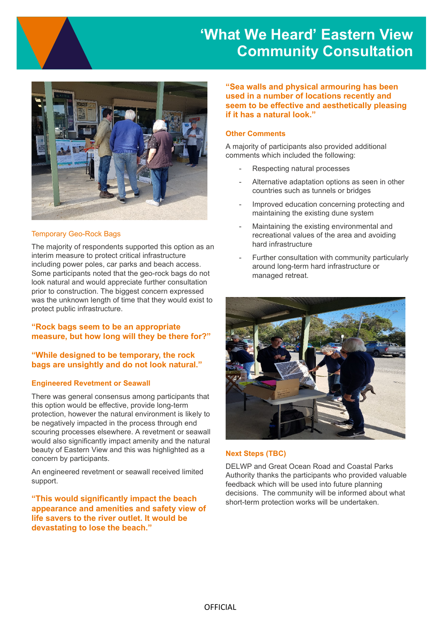# **'What We Heard' Eastern View Community Consultation**



# Temporary Geo-Rock Bags

The majority of respondents supported this option as an interim measure to protect critical infrastructure including power poles, car parks and beach access. Some participants noted that the geo-rock bags do not look natural and would appreciate further consultation prior to construction. The biggest concern expressed was the unknown length of time that they would exist to protect public infrastructure.

# **"Rock bags seem to be an appropriate measure, but how long will they be there for?"**

# **"While designed to be temporary, the rock bags are unsightly and do not look natural."**

#### **Engineered Revetment or Seawall**

There was general consensus among participants that this option would be effective, provide long-term protection, however the natural environment is likely to be negatively impacted in the process through end scouring processes elsewhere. A revetment or seawall would also significantly impact amenity and the natural beauty of Eastern View and this was highlighted as a concern by participants.

An engineered revetment or seawall received limited support.

**"This would significantly impact the beach appearance and amenities and safety view of life savers to the river outlet. It would be devastating to lose the beach."**

**"Sea walls and physical armouring has been used in a number of locations recently and seem to be effective and aesthetically pleasing if it has a natural look."**

#### **Other Comments**

A majority of participants also provided additional comments which included the following:

- Respecting natural processes
- Alternative adaptation options as seen in other countries such as tunnels or bridges
- Improved education concerning protecting and maintaining the existing dune system
- Maintaining the existing environmental and recreational values of the area and avoiding hard infrastructure
- Further consultation with community particularly around long-term hard infrastructure or managed retreat.



#### **Next Steps (TBC)**

DELWP and Great Ocean Road and Coastal Parks Authority thanks the participants who provided valuable feedback which will be used into future planning decisions. The community will be informed about what short-term protection works will be undertaken.